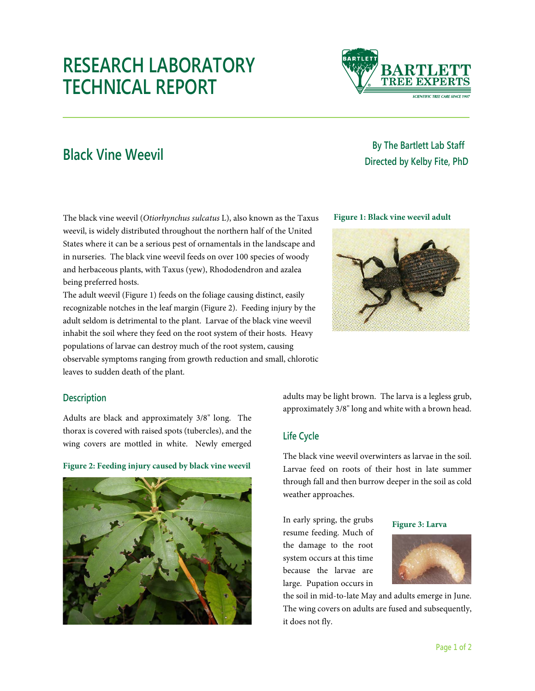# **RESEARCH LABORATORY TECHNICAL REPORT**



## **By The Bartlett Lab Staff Directed by Kelby Fite, PhD Black Vine Weevil Black Vine Weevil Black Directed by Kelby Fite, PhD**

The black vine weevil (*Otiorhynchus sulcatus* L), also known as the Taxus weevil, is widely distributed throughout the northern half of the United States where it can be a serious pest of ornamentals in the landscape and in nurseries. The black vine weevil feeds on over 100 species of woody and herbaceous plants, with Taxus (yew), Rhododendron and azalea being preferred hosts.

The adult weevil (Figure 1) feeds on the foliage causing distinct, easily recognizable notches in the leaf margin (Figure 2). Feeding injury by the adult seldom is detrimental to the plant. Larvae of the black vine weevil inhabit the soil where they feed on the root system of their hosts. Heavy populations of larvae can destroy much of the root system, causing observable symptoms ranging from growth reduction and small, chlorotic leaves to sudden death of the plant.

#### **Figure 1: Black vine weevil adult**



### **Description**

Adults are black and approximately 3/8" long. The thorax is covered with raised spots (tubercles), and the wing covers are mottled in white. Newly emerged

**Figure 2: Feeding injury caused by black vine weevil**



adults may be light brown. The larva is a legless grub, approximately 3/8" long and white with a brown head.

### **Life Cycle**

The black vine weevil overwinters as larvae in the soil. Larvae feed on roots of their host in late summer through fall and then burrow deeper in the soil as cold weather approaches.

In early spring, the grubs resume feeding. Much of the damage to the root system occurs at this time because the larvae are large. Pupation occurs in

#### **Figure 3: Larva**



the soil in mid-to-late May and adults emerge in June. The wing covers on adults are fused and subsequently, it does not fly.